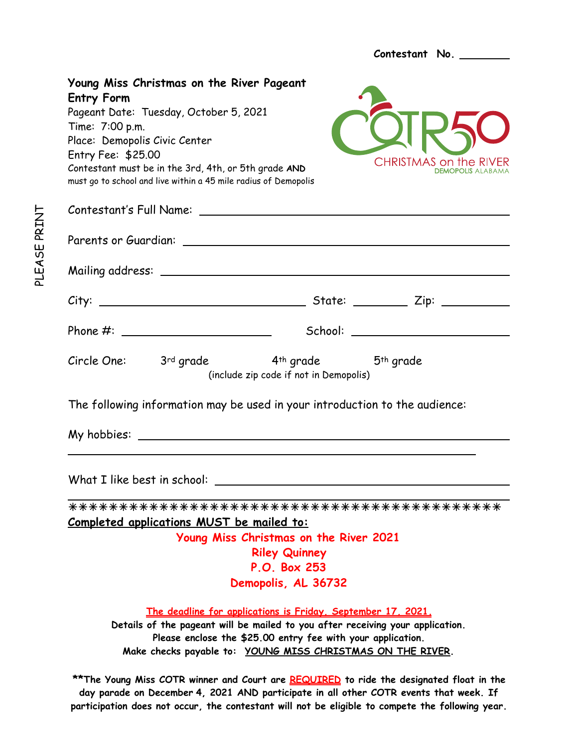**Contestant No. Young Miss Christmas on the River Pageant Entry Form**  Pageant Date: Tuesday, October 5, 2021 Time: 7:00 p.m. Place: Demopolis Civic Center Entry Fee: \$25.00 **CHRISTMAS on the RIVER** Contestant must be in the 3rd, 4th, or 5th grade **AND DEMOPOLIS ALABAMA** must go to school and live within a 45 mile radius of Demopolis Contestant's Full Name: Parents or Guardian: 2008 and 2008 and 2008 and 2008 and 2008 and 2008 and 2008 and 2008 and 2008 and 2008 and Mailing address: City: State: Zip: Phone #: School: Circle One: 3rd grade 4th grade 5th grade (include zip code if not in Demopolis) The following information may be used in your introduction to the audience: My hobbies:  $\overline{a}$ What I like best in school:  $\overline{a}$ !!!!!!!!!!!!!!!!!!!!!!!!!!!!!!!!!!!!!!!!!!! **Completed applications MUST be mailed to: Young Miss Christmas on the River 2021 Riley Quinney P.O. Box 253 Demopolis, AL 36732 The deadline for applications is Friday, September 17, 2021. Details of the pageant will be mailed to you after receiving your application. Please enclose the \$25.00 entry fee with your application. Make checks payable to: YOUNG MISS CHRISTMAS ON THE RIVER.** 

**\*\*The Young Miss COTR winner and Court are REQUIRED to ride the designated float in the day parade on December 4, 2021 AND participate in all other COTR events that week. If participation does not occur, the contestant will not be eligible to compete the following year.**